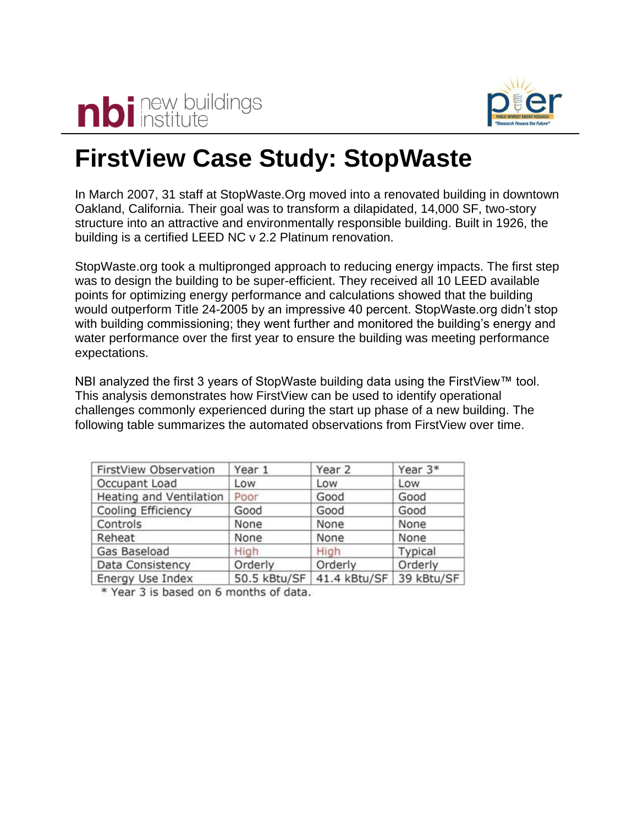



## **FirstView Case Study: StopWaste**

In March 2007, 31 staff at StopWaste.Org moved into a renovated building in downtown Oakland, California. Their goal was to transform a dilapidated, 14,000 SF, two-story structure into an attractive and environmentally responsible building. Built in 1926, the building is a certified LEED NC v 2.2 Platinum renovation.

StopWaste.org took a multipronged approach to reducing energy impacts. The first step was to design the building to be super-efficient. They received all 10 LEED available points for optimizing energy performance and calculations showed that the building would outperform Title 24-2005 by an impressive 40 percent. StopWaste.org didn't stop with building commissioning; they went further and monitored the building's energy and water performance over the first year to ensure the building was meeting performance expectations.

NBI analyzed the first 3 years of StopWaste building data using the FirstView™ tool. This analysis demonstrates how FirstView can be used to identify operational challenges commonly experienced during the start up phase of a new building. The following table summarizes the automated observations from FirstView over time.

| FirstView Observation   | Year 1       | Year 2                  | Year 3* |
|-------------------------|--------------|-------------------------|---------|
| Occupant Load           | Low          | Low                     | Low     |
| Heating and Ventilation | Poor         | Good                    | Good    |
| Cooling Efficiency      | Good         | Good                    | Good    |
| Controls                | None         | None                    | None    |
| Reheat                  | None         | None                    | None    |
| Gas Baseload            | High         | High                    | Typical |
| Data Consistency        | Orderly      | Orderly                 | Orderly |
| Energy Use Index        | 50.5 kBtu/SF | 41.4 kBtu/SF 39 kBtu/SF |         |

\* Year 3 is based on 6 months of data.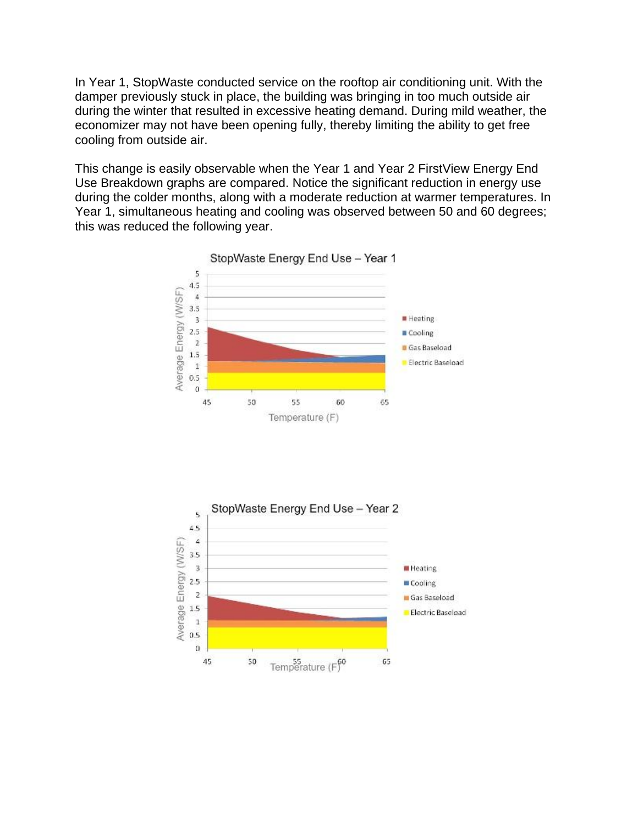In Year 1, StopWaste conducted service on the rooftop air conditioning unit. With the damper previously stuck in place, the building was bringing in too much outside air during the winter that resulted in excessive heating demand. During mild weather, the economizer may not have been opening fully, thereby limiting the ability to get free cooling from outside air.

This change is easily observable when the Year 1 and Year 2 FirstView Energy End Use Breakdown graphs are compared. Notice the significant reduction in energy use during the colder months, along with a moderate reduction at warmer temperatures. In Year 1, simultaneous heating and cooling was observed between 50 and 60 degrees; this was reduced the following year.